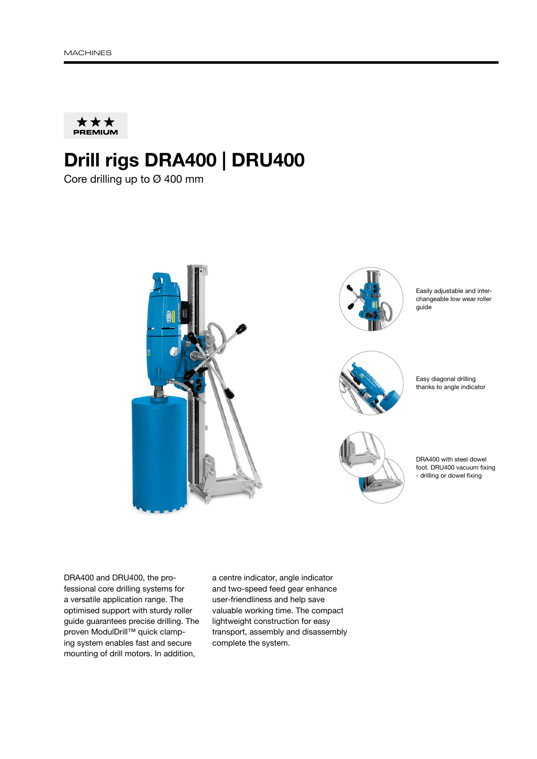

# Drill rigs DRA400 | DRU400

Core drilling up to Ø 400 mm



DRA400 and DRU400, the professional core drilling systems for a versatile application range. The optimised support with sturdy roller guide guarantees precise drilling. The proven ModulDrill™ quick clamping system enables fast and secure mounting of drill motors. In addition,

a centre indicator, angle indicator and two-speed feed gear enhance user-friendliness and help save valuable working time. The compact lightweight construction for easy transport, assembly and disassembly complete the system.